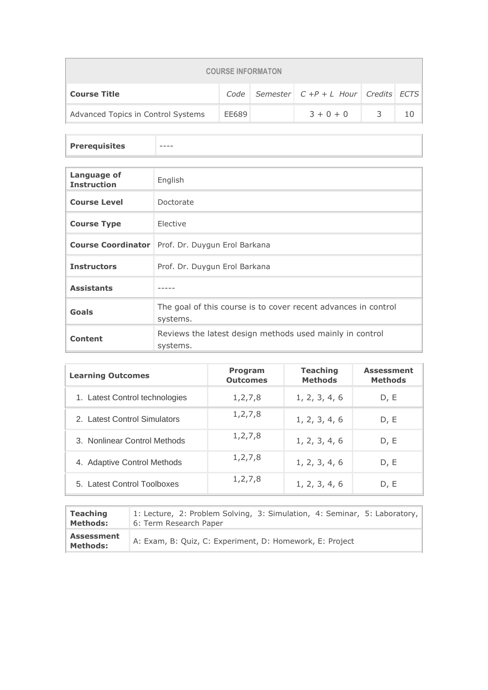| <b>COURSE INFORMATON</b>           |       |  |                                                     |   |  |  |  |
|------------------------------------|-------|--|-----------------------------------------------------|---|--|--|--|
| <b>Course Title</b>                |       |  | Code   Semester   $C + P + L$ Hour   Credits   ECTS |   |  |  |  |
| Advanced Topics in Control Systems | EE689 |  | $3 + 0 + 0$                                         | 3 |  |  |  |

**Prerequisites** 

| Language of<br><b>Instruction</b> | English                                                                    |
|-----------------------------------|----------------------------------------------------------------------------|
| <b>Course Level</b>               | Doctorate                                                                  |
| <b>Course Type</b>                | Elective                                                                   |
|                                   | <b>Course Coordinator</b> Prof. Dr. Duygun Erol Barkana                    |
| <b>Instructors</b>                | Prof. Dr. Duygun Erol Barkana                                              |
| <b>Assistants</b>                 |                                                                            |
| Goals                             | The goal of this course is to cover recent advances in control<br>systems. |
| Content                           | Reviews the latest design methods used mainly in control<br>systems.       |

| <b>Learning Outcomes</b>       | Program<br><b>Outcomes</b> | <b>Teaching</b><br><b>Methods</b> | <b>Assessment</b><br><b>Methods</b> |
|--------------------------------|----------------------------|-----------------------------------|-------------------------------------|
| 1. Latest Control technologies | 1, 2, 7, 8                 | 1, 2, 3, 4, 6                     | D, E                                |
| 2. Latest Control Simulators   | 1, 2, 7, 8                 | 1, 2, 3, 4, 6                     | D, E                                |
| 3. Nonlinear Control Methods   | 1, 2, 7, 8                 | 1, 2, 3, 4, 6                     | D, E                                |
| 4. Adaptive Control Methods    | 1, 2, 7, 8                 | 1, 2, 3, 4, 6                     | D, E                                |
| 5. Latest Control Toolboxes    | 1, 2, 7, 8                 | 1, 2, 3, 4, 6                     | D, E                                |

| <b>Teaching</b>                      | 1: Lecture, 2: Problem Solving, 3: Simulation, 4: Seminar, 5: Laboratory, |
|--------------------------------------|---------------------------------------------------------------------------|
| <b>Methods:</b>                      | 6: Term Research Paper                                                    |
| <b>Assessment</b><br><b>Methods:</b> | A: Exam, B: Quiz, C: Experiment, D: Homework, E: Project                  |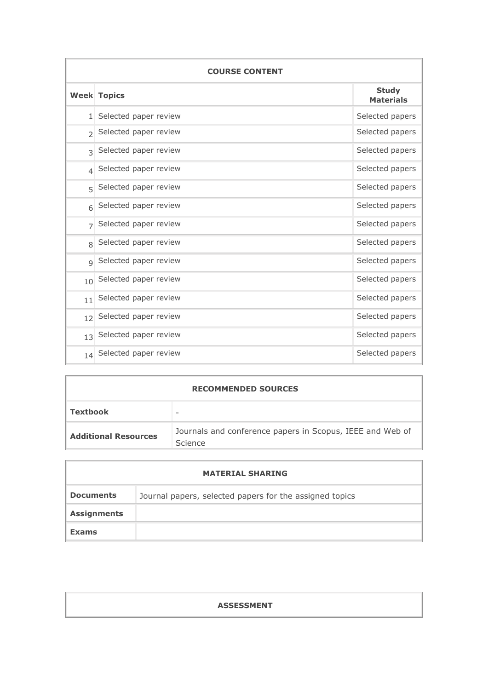| <b>COURSE CONTENT</b>    |                       |                                  |  |  |
|--------------------------|-----------------------|----------------------------------|--|--|
|                          | <b>Week Topics</b>    | <b>Study</b><br><b>Materials</b> |  |  |
| 1 <sup>1</sup>           | Selected paper review | Selected papers                  |  |  |
| $\overline{\phantom{a}}$ | Selected paper review | Selected papers                  |  |  |
| $\overline{\mathcal{E}}$ | Selected paper review | Selected papers                  |  |  |
| $\overline{\mathcal{L}}$ | Selected paper review | Selected papers                  |  |  |
| $\overline{5}$           | Selected paper review | Selected papers                  |  |  |
| 6                        | Selected paper review | Selected papers                  |  |  |
| $\overline{7}$           | Selected paper review | Selected papers                  |  |  |
| 8                        | Selected paper review | Selected papers                  |  |  |
| $\mathsf{Q}$             | Selected paper review | Selected papers                  |  |  |
| 10                       | Selected paper review | Selected papers                  |  |  |
| 11                       | Selected paper review | Selected papers                  |  |  |
| 12                       | Selected paper review | Selected papers                  |  |  |
| 13                       | Selected paper review | Selected papers                  |  |  |
| 14                       | Selected paper review | Selected papers                  |  |  |

| <b>RECOMMENDED SOURCES</b>  |                                                                      |  |  |
|-----------------------------|----------------------------------------------------------------------|--|--|
| <b>Textbook</b>             |                                                                      |  |  |
| <b>Additional Resources</b> | Journals and conference papers in Scopus, IEEE and Web of<br>Science |  |  |

|                    | <b>MATERIAL SHARING</b>                                 |
|--------------------|---------------------------------------------------------|
| <b>Documents</b>   | Journal papers, selected papers for the assigned topics |
| <b>Assignments</b> |                                                         |
| <b>Exams</b>       |                                                         |

| <b>ASSESSMENT</b> |  |
|-------------------|--|
|                   |  |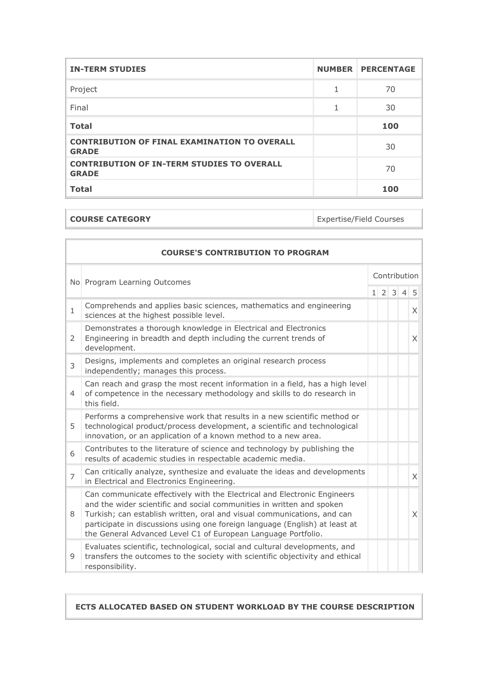| <b>IN-TERM STUDIES</b>                                              | <b>NUMBER PERCENTAGE</b> |
|---------------------------------------------------------------------|--------------------------|
| Project                                                             | 70                       |
| Final                                                               | 30                       |
| <b>Total</b>                                                        | 100                      |
| <b>CONTRIBUTION OF FINAL EXAMINATION TO OVERALL</b><br><b>GRADE</b> | 30                       |
| <b>CONTRIBUTION OF IN-TERM STUDIES TO OVERALL</b><br><b>GRADE</b>   | 70                       |
| <b>Total</b>                                                        | 100                      |

| <b>COURSE CATEGORY</b> | Expertise/Field Courses |
|------------------------|-------------------------|
|                        |                         |

 $\mathbf{1}$ 

|                              | <b>COURSE'S CONTRIBUTION TO PROGRAM</b>                                                                                                                                                                                                                                                                                                                                      |              |  |                     |  |          |
|------------------------------|------------------------------------------------------------------------------------------------------------------------------------------------------------------------------------------------------------------------------------------------------------------------------------------------------------------------------------------------------------------------------|--------------|--|---------------------|--|----------|
| No Program Learning Outcomes |                                                                                                                                                                                                                                                                                                                                                                              | Contribution |  |                     |  |          |
|                              |                                                                                                                                                                                                                                                                                                                                                                              |              |  | $1 \ 2 \ 3 \ 4 \ 5$ |  |          |
| $\mathbf{1}$                 | Comprehends and applies basic sciences, mathematics and engineering<br>sciences at the highest possible level.                                                                                                                                                                                                                                                               |              |  |                     |  | $\times$ |
| 2                            | Demonstrates a thorough knowledge in Electrical and Electronics<br>Engineering in breadth and depth including the current trends of<br>development.                                                                                                                                                                                                                          |              |  |                     |  | X        |
| 3                            | Designs, implements and completes an original research process<br>independently; manages this process.                                                                                                                                                                                                                                                                       |              |  |                     |  |          |
| $\overline{4}$               | Can reach and grasp the most recent information in a field, has a high level<br>of competence in the necessary methodology and skills to do research in<br>this field.                                                                                                                                                                                                       |              |  |                     |  |          |
| 5                            | Performs a comprehensive work that results in a new scientific method or<br>technological product/process development, a scientific and technological<br>innovation, or an application of a known method to a new area.                                                                                                                                                      |              |  |                     |  |          |
| 6                            | Contributes to the literature of science and technology by publishing the<br>results of academic studies in respectable academic media.                                                                                                                                                                                                                                      |              |  |                     |  |          |
| 7                            | Can critically analyze, synthesize and evaluate the ideas and developments<br>in Electrical and Electronics Engineering.                                                                                                                                                                                                                                                     |              |  |                     |  | $\times$ |
| 8                            | Can communicate effectively with the Electrical and Electronic Engineers<br>and the wider scientific and social communities in written and spoken<br>Turkish; can establish written, oral and visual communications, and can<br>participate in discussions using one foreign language (English) at least at<br>the General Advanced Level C1 of European Language Portfolio. |              |  |                     |  | X        |
| 9                            | Evaluates scientific, technological, social and cultural developments, and<br>transfers the outcomes to the society with scientific objectivity and ethical<br>responsibility.                                                                                                                                                                                               |              |  |                     |  |          |

**ECTS ALLOCATED BASED ON STUDENT WORKLOAD BY THE COURSE DESCRIPTION**